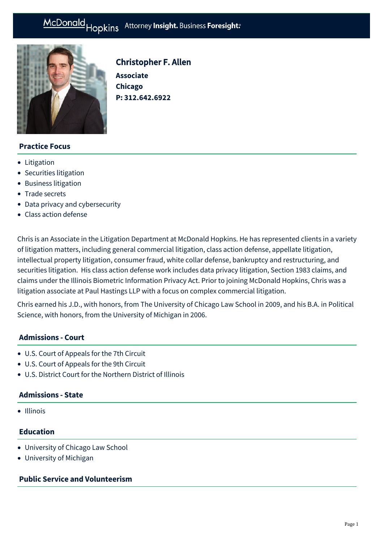

# Christopher F. Allen

**Associate Chicago P: [312.642.6922](tel:312.642.6922)**

# **Practice Focus**

- [Litigation](https://mcdonaldhopkins.com/Expertise/Litigation)
- [Securities litigation](https://mcdonaldhopkins.com/Expertise/Litigation/Securities-litigation)
- [Business litigation](https://mcdonaldhopkins.com/Expertise/Litigation/Business-litigation)
- [Trade secrets](https://mcdonaldhopkins.com/Expertise/Intellectual-property/Trade-secrets)
- [Data privacy and cybersecurity](https://mcdonaldhopkins.com/Expertise/Data-privacy-and-cybersecurity)
- [Class action defense](https://mcdonaldhopkins.com/Expertise/Litigation/Class-action-defense)

Chris is an Associate in the Litigation Department at McDonald Hopkins. He has represented clients in a variety of litigation matters, including general commercial litigation, class action defense, appellate litigation, intellectual property litigation, consumer fraud, white collar defense, bankruptcy and restructuring, and securities litigation. His class action defense work includes data privacy litigation, Section 1983 claims, and claims under the Illinois Biometric Information Privacy Act. Prior to joining McDonald Hopkins, Chris was a litigation associate at Paul Hastings LLP with a focus on complex commercial litigation.

Chris earned his J.D., with honors, from The University of Chicago Law School in 2009, and his B.A. in Political Science, with honors, from the University of Michigan in 2006.

# **Admissions - Court**

- U.S. Court of Appeals for the 7th Circuit
- U.S. Court of Appeals for the 9th Circuit
- U.S. District Court for the Northern District of Illinois

## **Admissions - State**

• Illinois

#### **Education**

- University of Chicago Law School
- University of Michigan

## **Public Service and Volunteerism**